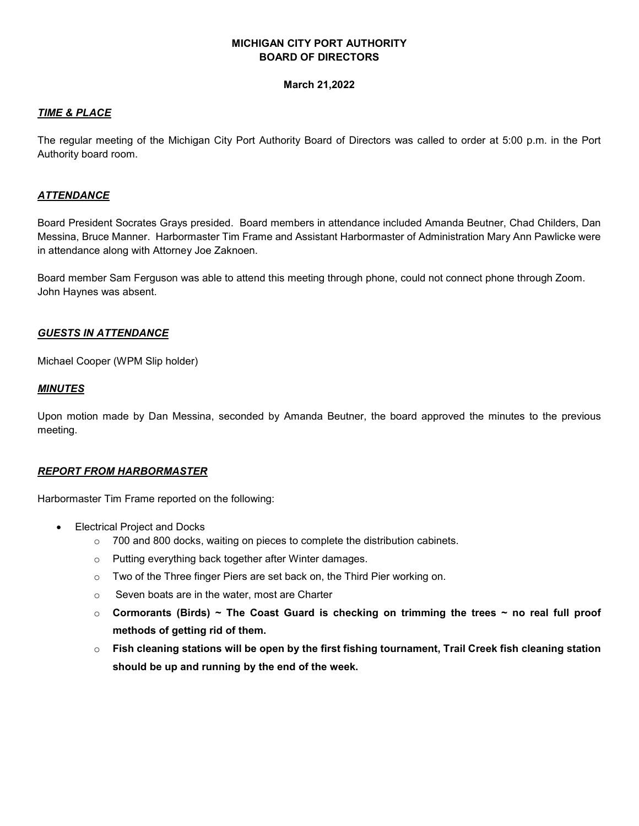## **MICHIGAN CITY PORT AUTHORITY BOARD OF DIRECTORS**

#### **March 21,2022**

### *TIME & PLACE*

The regular meeting of the Michigan City Port Authority Board of Directors was called to order at 5:00 p.m. in the Port Authority board room.

## *ATTENDANCE*

Board President Socrates Grays presided. Board members in attendance included Amanda Beutner, Chad Childers, Dan Messina, Bruce Manner. Harbormaster Tim Frame and Assistant Harbormaster of Administration Mary Ann Pawlicke were in attendance along with Attorney Joe Zaknoen.

Board member Sam Ferguson was able to attend this meeting through phone, could not connect phone through Zoom. John Haynes was absent.

#### *GUESTS IN ATTENDANCE*

Michael Cooper (WPM Slip holder)

#### *MINUTES*

Upon motion made by Dan Messina, seconded by Amanda Beutner, the board approved the minutes to the previous meeting.

## *REPORT FROM HARBORMASTER*

Harbormaster Tim Frame reported on the following:

- Electrical Project and Docks
	- $\circ$  700 and 800 docks, waiting on pieces to complete the distribution cabinets.
	- o Putting everything back together after Winter damages.
	- o Two of the Three finger Piers are set back on, the Third Pier working on.
	- o Seven boats are in the water, most are Charter
	- o **Cormorants (Birds) ~ The Coast Guard is checking on trimming the trees ~ no real full proof methods of getting rid of them.**
	- o **Fish cleaning stations will be open by the first fishing tournament, Trail Creek fish cleaning station should be up and running by the end of the week.**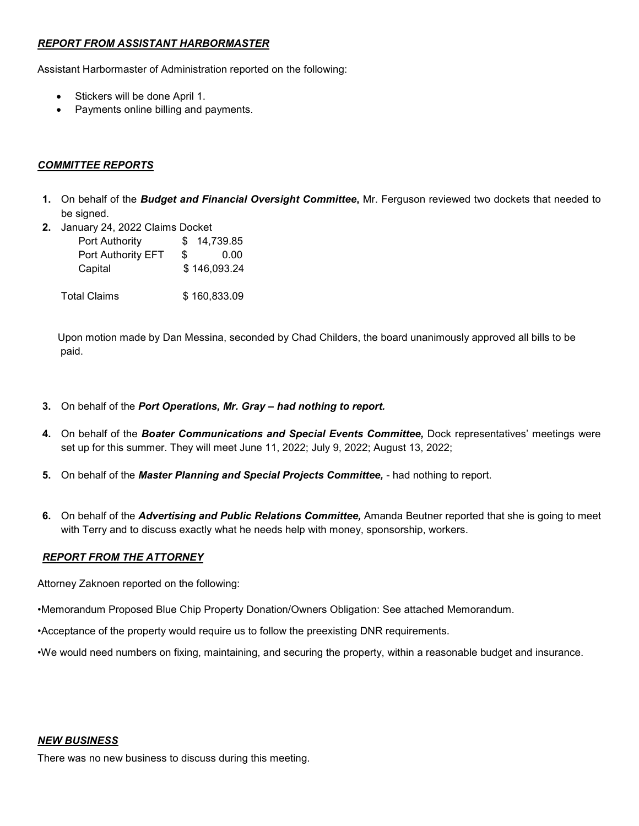## *REPORT FROM ASSISTANT HARBORMASTER*

Assistant Harbormaster of Administration reported on the following:

- Stickers will be done April 1.
- Payments online billing and payments.

## *COMMITTEE REPORTS*

- **1.** On behalf of the *Budget and Financial Oversight Committee***,** Mr. Ferguson reviewed two dockets that needed to be signed.
- **2.** January 24, 2022 Claims Docket

| <b>Port Authority</b> | 14,739.85<br>SS. |
|-----------------------|------------------|
| Port Authority EFT    | \$.<br>0.00      |
| Capital               | \$146,093.24     |
|                       |                  |

Total Claims \$ 160,833.09

 Upon motion made by Dan Messina, seconded by Chad Childers, the board unanimously approved all bills to be paid.

- **3.** On behalf of the *Port Operations, Mr. Gray had nothing to report.*
- **4.** On behalf of the *Boater Communications and Special Events Committee,* Dock representatives' meetings were set up for this summer. They will meet June 11, 2022; July 9, 2022; August 13, 2022;
- **5.** On behalf of the *Master Planning and Special Projects Committee,*  had nothing to report.
- **6.** On behalf of the *Advertising and Public Relations Committee,* Amanda Beutner reported that she is going to meet with Terry and to discuss exactly what he needs help with money, sponsorship, workers.

# *REPORT FROM THE ATTORNEY*

Attorney Zaknoen reported on the following:

•Memorandum Proposed Blue Chip Property Donation/Owners Obligation: See attached Memorandum.

•Acceptance of the property would require us to follow the preexisting DNR requirements.

•We would need numbers on fixing, maintaining, and securing the property, within a reasonable budget and insurance.

## *NEW BUSINESS*

There was no new business to discuss during this meeting.